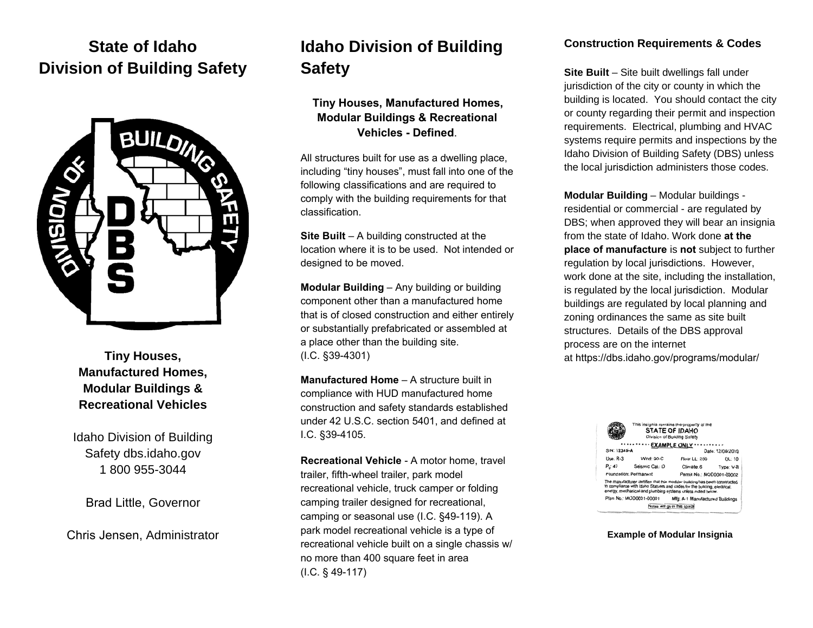# **State of Idaho Division of Building Safety**



**Tiny Houses, Manufactured Homes, Modular Buildings & Recreational Vehicles**

Idaho Division of Building Safety dbs.idaho.gov 1 800 955-3044

Brad Little, Governor

Chris Jensen, Administrator

# **Idaho Division of Building Safety**

## **Tiny Houses, Manufactured Homes, Modular Buildings & Recreational Vehicles - Defined**.

All structures built for use as a dwelling place, including "tiny houses", must fall into one of the following classifications and are required to comply with the building requirements for that classification.

**Site Built** – A building constructed at the location where it is to be used. Not intended or designed to be moved.

**Modular Building** – Any building or building component other than a manufactured home that is of closed construction and either entirely or substantially prefabricated or assembled at a place other than the building site. (I.C. §39-4301)

**Manufactured Home** – A structure built in compliance with HUD manufactured home construction and safety standards established under 42 U.S.C. section 5401, and defined at I.C. §39-4105.

**Recreational Vehicle** - A motor home, travel trailer, fifth-wheel trailer, park model recreational vehicle, truck camper or folding camping trailer designed for recreational, camping or seasonal use (I.C. §49-119). A park model recreational vehicle is a type of recreational vehicle built on a single chassis w/ no more than 400 square feet in area (I.C. § 49-117)

### **Construction Requirements & Codes**

**Site Built** – Site built dwellings fall under jurisdiction of the city or county in which the building is located. You should contact the city or county regarding their permit and inspection requirements. Electrical, plumbing and HVAC systems require permits and inspections by the Idaho Division of Building Safety (DBS) unless the local jurisdiction administers those codes.

**Modular Building** – Modular buildings residential or commercial - are regulated by DBS; when approved they will bear an insignia from the state of Idaho. Work done **at the place of manufacture** is **not** subject to further regulation by local jurisdictions. However, work done at the site, including the installation, is regulated by the local jurisdiction. Modular buildings are regulated by local planning and zoning ordinances the same as site built structures. Details of the DBS approval process are on the internet at https://dbs.idaho.gov/programs/modular/



**Example of Modular Insignia**